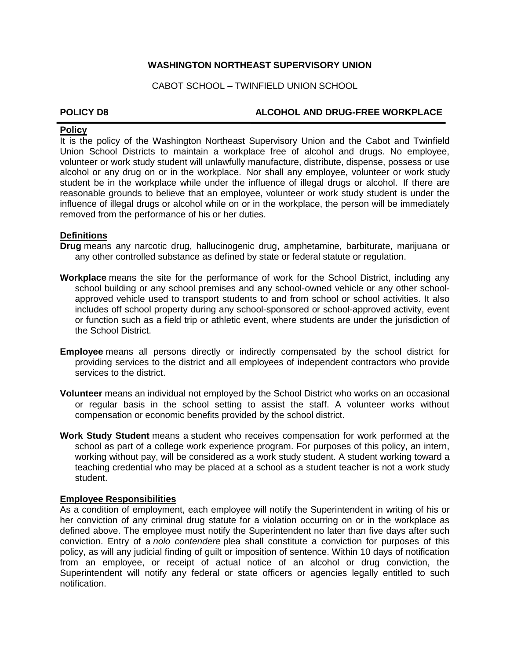## **WASHINGTON NORTHEAST SUPERVISORY UNION**

CABOT SCHOOL – TWINFIELD UNION SCHOOL

# **POLICY D8 ALCOHOL AND DRUG-FREE WORKPLACE**

# **Policy**

It is the policy of the Washington Northeast Supervisory Union and the Cabot and Twinfield Union School Districts to maintain a workplace free of alcohol and drugs. No employee, volunteer or work study student will unlawfully manufacture, distribute, dispense, possess or use alcohol or any drug on or in the workplace. Nor shall any employee, volunteer or work study student be in the workplace while under the influence of illegal drugs or alcohol. If there are reasonable grounds to believe that an employee, volunteer or work study student is under the influence of illegal drugs or alcohol while on or in the workplace, the person will be immediately removed from the performance of his or her duties.

# **Definitions**

**Drug** means any narcotic drug, hallucinogenic drug, amphetamine, barbiturate, marijuana or any other controlled substance as defined by state or federal statute or regulation.

- **Workplace** means the site for the performance of work for the School District, including any school building or any school premises and any school-owned vehicle or any other schoolapproved vehicle used to transport students to and from school or school activities. It also includes off school property during any school-sponsored or school-approved activity, event or function such as a field trip or athletic event, where students are under the jurisdiction of the School District.
- **Employee** means all persons directly or indirectly compensated by the school district for providing services to the district and all employees of independent contractors who provide services to the district.
- **Volunteer** means an individual not employed by the School District who works on an occasional or regular basis in the school setting to assist the staff. A volunteer works without compensation or economic benefits provided by the school district.
- **Work Study Student** means a student who receives compensation for work performed at the school as part of a college work experience program. For purposes of this policy, an intern, working without pay, will be considered as a work study student. A student working toward a teaching credential who may be placed at a school as a student teacher is not a work study student.

### **Employee Responsibilities**

As a condition of employment, each employee will notify the Superintendent in writing of his or her conviction of any criminal drug statute for a violation occurring on or in the workplace as defined above. The employee must notify the Superintendent no later than five days after such conviction. Entry of a *nolo contendere* plea shall constitute a conviction for purposes of this policy, as will any judicial finding of guilt or imposition of sentence. Within 10 days of notification from an employee, or receipt of actual notice of an alcohol or drug conviction, the Superintendent will notify any federal or state officers or agencies legally entitled to such notification.